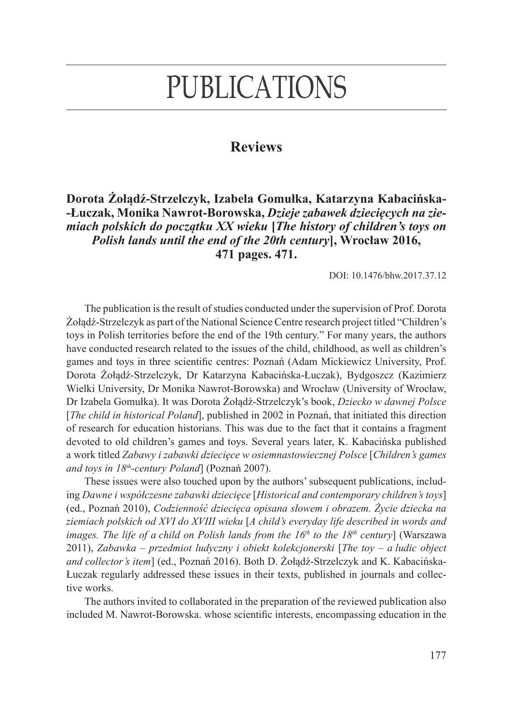## **PUBLICATIONS**

## **Reviews**

**Dorota Żołądź-Strzelczyk, Izabela Gomułka, Katarzyna Kabacińska- -Łuczak, Monika Nawrot-Borowska,** *Dzieje zabawek dziecięcych na ziemiach polskich do początku XX wieku* **[***The history of children's toys on Polish lands until the end of the 20th century***], Wrocław 2016, 471 pages. 471.**

DOI: 10.1476/bhw.2017.37.12

The publication is the result of studies conducted under the supervision of Prof. Dorota Żołądź-Strzelczyk as part of the National Science Centre research project titled "Children's toys in Polish territories before the end of the 19th century." For many years, the authors have conducted research related to the issues of the child, childhood, as well as children's games and toys in three scientific centres: Poznań (Adam Mickiewicz University, Prof. Dorota Żołądź-Strzelczyk, Dr Katarzyna Kabacińska-Łuczak), Bydgoszcz (Kazimierz Wielki University, Dr Monika Nawrot-Borowska) and Wrocław (University of Wrocław, Dr Izabela Gomułka). It was Dorota Żołądź-Strzelczyk's book, *Dziecko w dawnej Polsce*  [*The child in historical Poland*], published in 2002 in Poznań, that initiated this direction of research for education historians. This was due to the fact that it contains a fragment devoted to old children's games and toys. Several years later, K. Kabacińska published a work titled *Zabawy i zabawki dziecięce w osiemnastowiecznej Polsce* [*Children's games and toys in 18th-century Poland*] (Poznań 2007).

These issues were also touched upon by the authors' subsequent publications, including *Dawne i współczesne zabawki dziecięce* [*Historical and contemporary children's toys*] (ed., Poznań 2010), *Codzienność dziecięca opisana słowem i obrazem. Życie dziecka na ziemiach polskich od XVI do XVIII wieku* [*A child's everyday life described in words and images. The life of a child on Polish lands from the 16th to the 18th century*] (Warszawa 2011), *Zabawka – przedmiot ludyczny i obiekt kolekcjonerski* [*The toy – a ludic object and collector's item*] (ed., Poznań 2016). Both D. Żołądź-Strzelczyk and K. Kabacińska-Łuczak regularly addressed these issues in their texts, published in journals and collective works.

The authors invited to collaborated in the preparation of the reviewed publication also included M. Nawrot-Borowska. whose scientific interests, encompassing education in the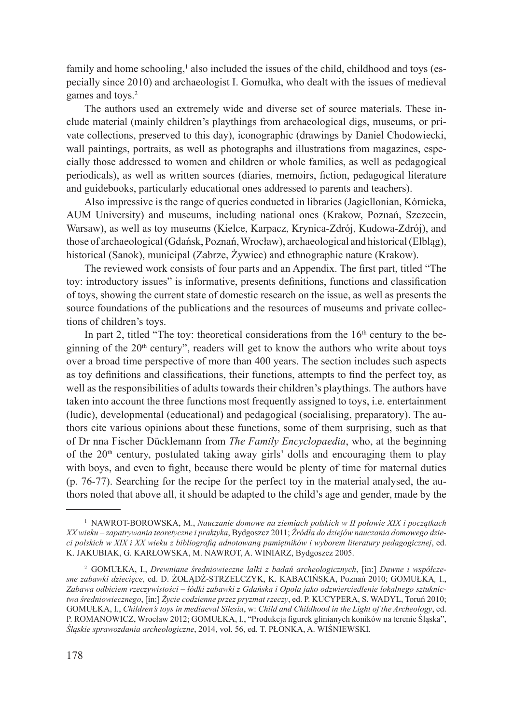family and home schooling,<sup>1</sup> also included the issues of the child, childhood and toys (especially since 2010) and archaeologist I. Gomułka, who dealt with the issues of medieval games and toys.<sup>2</sup>

The authors used an extremely wide and diverse set of source materials. These include material (mainly children's playthings from archaeological digs, museums, or private collections, preserved to this day), iconographic (drawings by Daniel Chodowiecki, wall paintings, portraits, as well as photographs and illustrations from magazines, especially those addressed to women and children or whole families, as well as pedagogical periodicals), as well as written sources (diaries, memoirs, fiction, pedagogical literature and guidebooks, particularly educational ones addressed to parents and teachers).

Also impressive is the range of queries conducted in libraries (Jagiellonian, Kórnicka, AUM University) and museums, including national ones (Krakow, Poznań, Szczecin, Warsaw), as well as toy museums (Kielce, Karpacz, Krynica-Zdrój, Kudowa-Zdrój), and those of archaeological (Gdańsk, Poznań, Wrocław), archaeological and historical (Elbląg), historical (Sanok), municipal (Zabrze, Żywiec) and ethnographic nature (Krakow).

The reviewed work consists of four parts and an Appendix. The first part, titled "The toy: introductory issues" is informative, presents definitions, functions and classification of toys, showing the current state of domestic research on the issue, as well as presents the source foundations of the publications and the resources of museums and private collections of children's toys.

In part 2, titled "The toy: theoretical considerations from the  $16<sup>th</sup>$  century to the beginning of the  $20<sup>th</sup>$  century", readers will get to know the authors who write about toys over a broad time perspective of more than 400 years. The section includes such aspects as toy definitions and classifications, their functions, attempts to find the perfect toy, as well as the responsibilities of adults towards their children's playthings. The authors have taken into account the three functions most frequently assigned to toys, i.e. entertainment (ludic), developmental (educational) and pedagogical (socialising, preparatory). The authors cite various opinions about these functions, some of them surprising, such as that of Dr nna Fischer Dücklemann from *The Family Encyclopaedia*, who, at the beginning of the 20<sup>th</sup> century, postulated taking away girls' dolls and encouraging them to play with boys, and even to fight, because there would be plenty of time for maternal duties (p. 76-77). Searching for the recipe for the perfect toy in the material analysed, the authors noted that above all, it should be adapted to the child's age and gender, made by the

<sup>1</sup> NAWROT-BOROWSKA, M., *Nauczanie domowe na ziemiach polskich w II połowie XIX i początkach XX wieku – zapatrywania teoretyczne i praktyka*, Bydgoszcz 2011; *Źródła do dziejów nauczania domowego dzieci polskich w XIX i XX wieku z bibliografią adnotowaną pamiętników i wyborem literatury pedagogicznej*, ed. K. JAKUBIAK, G. KARŁOWSKA, M. NAWROT, A. WINIARZ, Bydgoszcz 2005.

<sup>2</sup> GOMUŁKA, I., *Drewniane średniowieczne lalki z badań archeologicznych*, [in:] *Dawne i współczesne zabawki dziecięce*, ed. D. ŻOŁĄDŹ-STRZELCZYK, K. KABACIŃSKA, Poznań 2010; GOMUŁKA*,* I., *Zabawa odbiciem rzeczywistości – łódki zabawki z Gdańska i Opola jako odzwierciedlenie lokalnego sztuknictwa średniowiecznego*, [in:] *Życie codzienne przez pryzmat rzeczy*, ed. P. KUCYPERA, S. WADYL, Toruń 2010; GOMUŁKA, I., *Children's toys in mediaeval Silesia*, w: *Child and Childhood in the Light of the Archeology*, ed. P. ROMANOWICZ, Wrocław 2012; GOMUŁKA, I., "Produkcja figurek glinianych koników na terenie Śląska", *Śląskie sprawozdania archeologiczne*, 2014, vol. 56, ed. T. PŁONKA, A. WIŚNIEWSKI.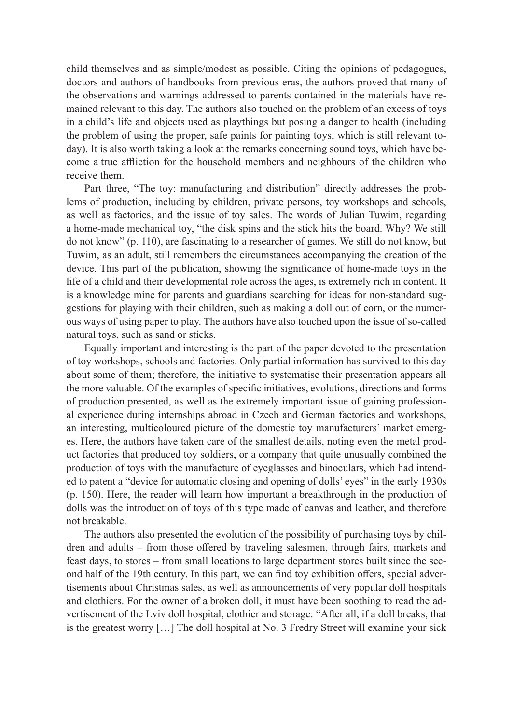child themselves and as simple/modest as possible. Citing the opinions of pedagogues, doctors and authors of handbooks from previous eras, the authors proved that many of the observations and warnings addressed to parents contained in the materials have remained relevant to this day. The authors also touched on the problem of an excess of toys in a child's life and objects used as playthings but posing a danger to health (including the problem of using the proper, safe paints for painting toys, which is still relevant today). It is also worth taking a look at the remarks concerning sound toys, which have become a true affliction for the household members and neighbours of the children who receive them.

Part three, "The toy: manufacturing and distribution" directly addresses the problems of production, including by children, private persons, toy workshops and schools, as well as factories, and the issue of toy sales. The words of Julian Tuwim, regarding a home-made mechanical toy, "the disk spins and the stick hits the board. Why? We still do not know" (p. 110), are fascinating to a researcher of games. We still do not know, but Tuwim, as an adult, still remembers the circumstances accompanying the creation of the device. This part of the publication, showing the significance of home-made toys in the life of a child and their developmental role across the ages, is extremely rich in content. It is a knowledge mine for parents and guardians searching for ideas for non-standard suggestions for playing with their children, such as making a doll out of corn, or the numerous ways of using paper to play. The authors have also touched upon the issue of so-called natural toys, such as sand or sticks.

Equally important and interesting is the part of the paper devoted to the presentation of toy workshops, schools and factories. Only partial information has survived to this day about some of them; therefore, the initiative to systematise their presentation appears all the more valuable. Of the examples of specific initiatives, evolutions, directions and forms of production presented, as well as the extremely important issue of gaining professional experience during internships abroad in Czech and German factories and workshops, an interesting, multicoloured picture of the domestic toy manufacturers' market emerges. Here, the authors have taken care of the smallest details, noting even the metal product factories that produced toy soldiers, or a company that quite unusually combined the production of toys with the manufacture of eyeglasses and binoculars, which had intended to patent a "device for automatic closing and opening of dolls' eyes" in the early 1930s (p. 150). Here, the reader will learn how important a breakthrough in the production of dolls was the introduction of toys of this type made of canvas and leather, and therefore not breakable.

The authors also presented the evolution of the possibility of purchasing toys by children and adults – from those offered by traveling salesmen, through fairs, markets and feast days, to stores – from small locations to large department stores built since the second half of the 19th century. In this part, we can find toy exhibition offers, special advertisements about Christmas sales, as well as announcements of very popular doll hospitals and clothiers. For the owner of a broken doll, it must have been soothing to read the advertisement of the Lviv doll hospital, clothier and storage: "After all, if a doll breaks, that is the greatest worry […] The doll hospital at No. 3 Fredry Street will examine your sick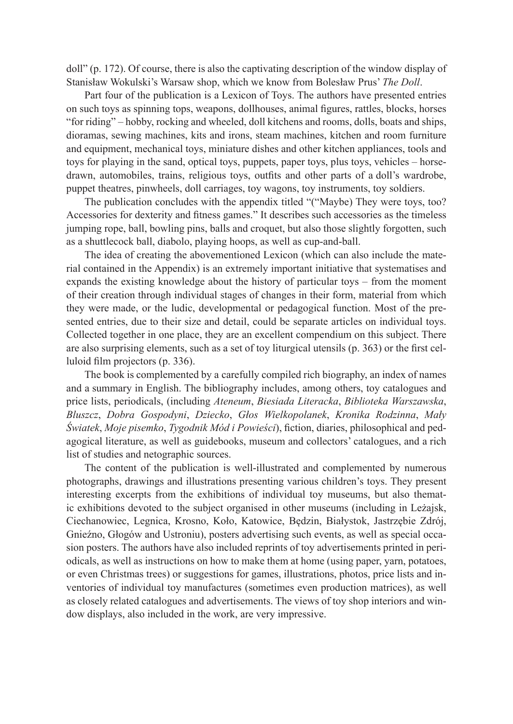doll" (p. 172). Of course, there is also the captivating description of the window display of Stanisław Wokulski's Warsaw shop, which we know from Bolesław Prus' *The Doll*.

Part four of the publication is a Lexicon of Toys. The authors have presented entries on such toys as spinning tops, weapons, dollhouses, animal figures, rattles, blocks, horses "for riding" – hobby, rocking and wheeled, doll kitchens and rooms, dolls, boats and ships, dioramas, sewing machines, kits and irons, steam machines, kitchen and room furniture and equipment, mechanical toys, miniature dishes and other kitchen appliances, tools and toys for playing in the sand, optical toys, puppets, paper toys, plus toys, vehicles – horsedrawn, automobiles, trains, religious toys, outfits and other parts of a doll's wardrobe, puppet theatres, pinwheels, doll carriages, toy wagons, toy instruments, toy soldiers.

The publication concludes with the appendix titled "("Maybe) They were toys, too? Accessories for dexterity and fitness games." It describes such accessories as the timeless jumping rope, ball, bowling pins, balls and croquet, but also those slightly forgotten, such as a shuttlecock ball, diabolo, playing hoops, as well as cup-and-ball.

The idea of creating the abovementioned Lexicon (which can also include the material contained in the Appendix) is an extremely important initiative that systematises and expands the existing knowledge about the history of particular toys – from the moment of their creation through individual stages of changes in their form, material from which they were made, or the ludic, developmental or pedagogical function. Most of the presented entries, due to their size and detail, could be separate articles on individual toys. Collected together in one place, they are an excellent compendium on this subject. There are also surprising elements, such as a set of toy liturgical utensils (p. 363) or the first celluloid film projectors (p. 336).

The book is complemented by a carefully compiled rich biography, an index of names and a summary in English. The bibliography includes, among others, toy catalogues and price lists, periodicals, (including *Ateneum*, *Biesiada Literacka*, *Biblioteka Warszawska*, *Bluszcz*, *Dobra Gospodyni*, *Dziecko*, *Głos Wielkopolanek*, *Kronika Rodzinna*, *Mały Światek*, *Moje pisemko*, *Tygodnik Mód i Powieści*), fiction, diaries, philosophical and pedagogical literature, as well as guidebooks, museum and collectors' catalogues, and a rich list of studies and netographic sources.

The content of the publication is well-illustrated and complemented by numerous photographs, drawings and illustrations presenting various children's toys. They present interesting excerpts from the exhibitions of individual toy museums, but also thematic exhibitions devoted to the subject organised in other museums (including in Leżajsk, Ciechanowiec, Legnica, Krosno, Koło, Katowice, Będzin, Białystok, Jastrzębie Zdrój, Gnieźno, Głogów and Ustroniu), posters advertising such events, as well as special occasion posters. The authors have also included reprints of toy advertisements printed in periodicals, as well as instructions on how to make them at home (using paper, yarn, potatoes, or even Christmas trees) or suggestions for games, illustrations, photos, price lists and inventories of individual toy manufactures (sometimes even production matrices), as well as closely related catalogues and advertisements. The views of toy shop interiors and window displays, also included in the work, are very impressive.